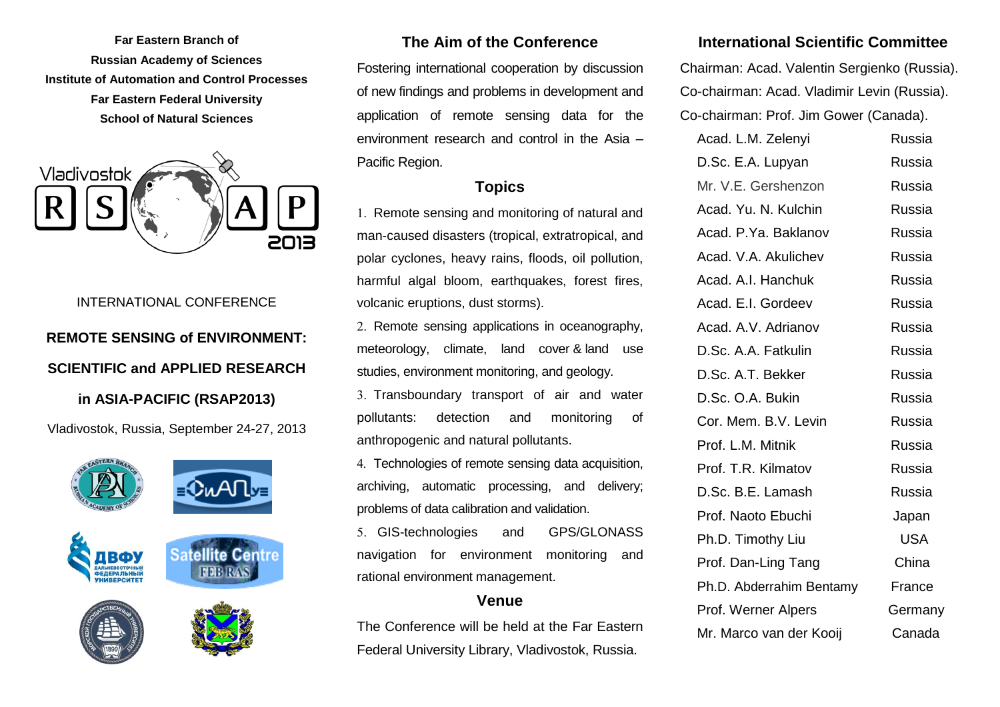**Far Eastern Branch of Russian Academy of Sciences Institute of Automation and Control Processes Far Eastern Federal University School of Natural Sciences**



INTERNATIONAL CONFERENCE **REMOTE SENSING of ENVIRONMENT: SCIENTIFIC and APPLIED RESEARCH**

# **in ASIA-PACIFIC (RSAP2013)**

Vladivostok, Russia, September 24-27, 2013



# **The Aim of the Conference**

Fostering international cooperation by discussion of new findings and problems in development and application of remote sensing data for the environment research and control in the Asia – Pacific Region.

# **Topics**

1. Remote sensing and monitoring of natural and man-caused disasters (tropical, extratropical, and polar cyclones, heavy rains, floods, oil pollution, harmful algal bloom, earthquakes, forest fires, volcanic eruptions, dust storms).

2. Remote sensing applications in oceanography, meteorology, climate, land cover & land use studies, environment monitoring, and geology.

3. Transboundary transport of air and water pollutants: detection and monitoring of anthropogenic and natural pollutants.

 Technologies of remote sensing data acquisition, archiving, automatic processing, and delivery; problems of data calibration and validation.

 GIS-technologies and GPS/GLONASS navigation for environment monitoring and rational environment management.

# **Venue**

The Conference will be held at the Far Eastern Federal University Library, Vladivostok, Russia.

# **International Scientific Committee**

Chairman: Acad. Valentin Sergienko (Russia). Co-chairman: Acad. Vladimir Levin (Russia). Co-chairman: Prof. Jim Gower (Canada).

| Acad. L.M. Zelenyi       | Russia        |
|--------------------------|---------------|
| D.Sc. E.A. Lupyan        | Russia        |
| Mr. V.E. Gershenzon      | Russia        |
| Acad. Yu. N. Kulchin     | Russia        |
| Acad. P.Ya. Baklanov     | Russia        |
| Acad. V.A. Akulichev     | Russia        |
| Acad. A.I. Hanchuk       | Russia        |
| Acad. E.I. Gordeev       | Russia        |
| Acad. A.V. Adrianov      | Russia        |
| D.Sc. A.A. Fatkulin      | Russia        |
| D.Sc. A.T. Bekker        | Russia        |
| D.Sc. O.A. Bukin         | Russia        |
| Cor. Mem. B.V. Levin     | <b>Russia</b> |
| Prof. L.M. Mitnik        | Russia        |
| Prof. T.R. Kilmatov      | <b>Russia</b> |
| D.Sc. B.E. Lamash        | Russia        |
| Prof. Naoto Ebuchi       | Japan         |
| Ph.D. Timothy Liu        | <b>USA</b>    |
| Prof. Dan-Ling Tang      | China         |
| Ph.D. Abderrahim Bentamy | France        |
| Prof. Werner Alpers      | Germany       |
| Mr. Marco van der Kooij  | Canada        |